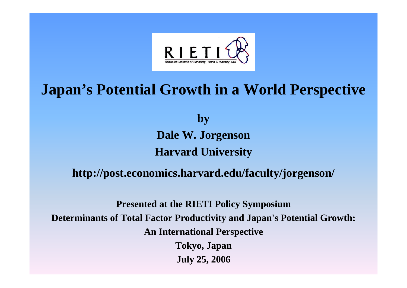

## **Japan's Potential Growth in a World Perspective**

**by Dale W. Jorgenson Harvard University**

### **http://post.economics.harvard.edu/faculty/jorgenson/**

**Presented at the RIETI Policy Symposium Determinants of Total Factor Productivity and Japan's Potential Growth: An International Perspective Tokyo, Japan July 25, 2006**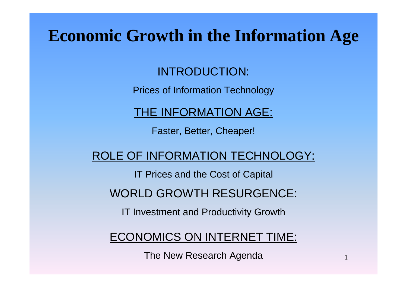# **Economic Growth in the Information Age**

### INTRODUCTION:

Prices of Information Technology

THE INFORMATION AGE:

Faster, Better, Cheaper!

ROLE OF INFORMATION TECHNOLOGY:

IT Prices and the Cost of Capital

WORLD GROWTH RESURGENCE:

IT Investment and Productivity Growth

ECONOMICS ON INTERNET TIME:

The New Research Agenda

1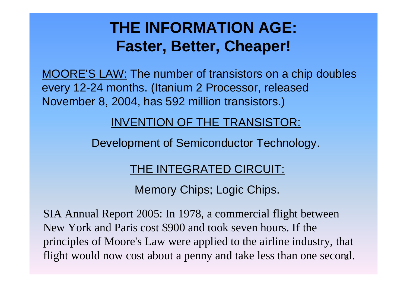## **THE INFORMATION AGE: Faster, Better, Cheaper!**

MOORE'S LAW: The number of transistors on a chip doubles every 12-24 months. (Itanium 2 Processor, released November 8, 2004, has 592 million transistors.)

### INVENTION OF THE TRANSISTOR:

Development of Semiconductor Technology.

### THE INTEGRATED CIRCUIT:

Memory Chips; Logic Chips.

flight would now cost about a penny and take less than one second. SIA Annual Report 2005: In 1978, a commercial flight between New York and Paris cost \$900 and took seven hours. If the principles of Moore's Law were applied to the airline industry, that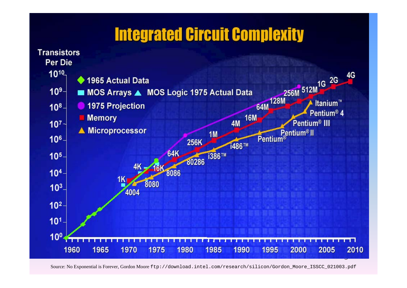## **Integrated Circuit Complexity**



Source: No Exponential is Forever, Gordon Moore ftp://download.intel.com/research/silicon/Gordon\_Moore\_ISSCC\_021003.pdf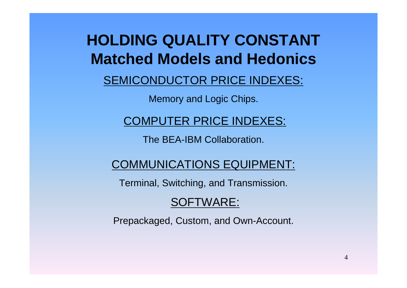## **HOLDING QUALITY CONSTANT Matched Models and Hedonics**

### SEMICONDUCTOR PRICE INDEXES:

Memory and Logic Chips.

### COMPUTER PRICE INDEXES:

The BEA-IBM Collaboration.

### COMMUNICATIONS EQUIPMENT:

Terminal, Switching, and Transmission.

### SOFTWARE:

Prepackaged, Custom, and Own-Account.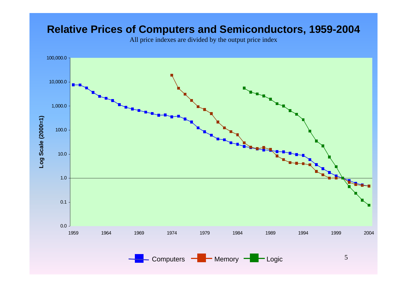### **Relative Prices of Computers and Semiconductors, 1959-2004**

All price indexes are divided by the output price index

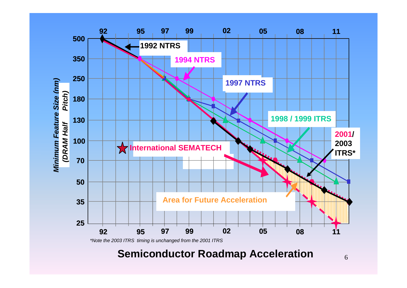

**Semiconductor Roadmap Acceleration**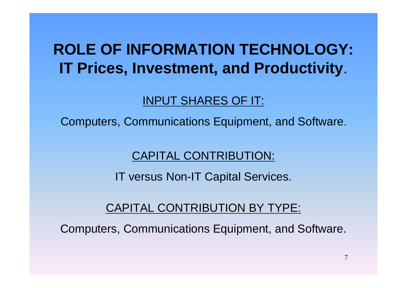## **ROLE OF INFORMATION TECHNOLOGY: IT Prices, Investment, and Productivity**.

## INPUT SHARES OF IT:

Computers, Communications Equipment, and Software.

### CAPITAL CONTRIBUTION:

IT versus Non-IT Capital Services.

### CAPITAL CONTRIBUTION BY TYPE:

Computers, Communications Equipment, and Software.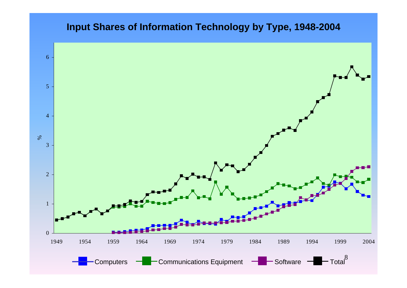#### **Input Shares of Information Technology by Type, 1948-2004**

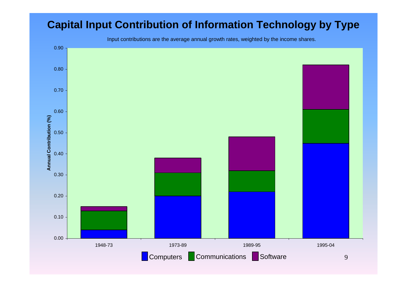### **Capital Input Contribution of Information Technology by Type**

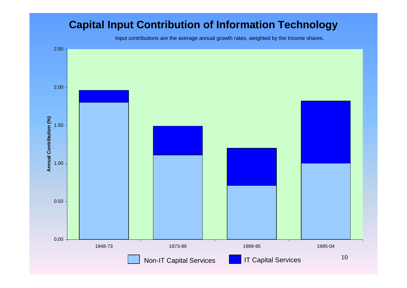### **Capital Input Contribution of Information Technology**

Input contributions are the average annual growth rates, weighted by the income shares.

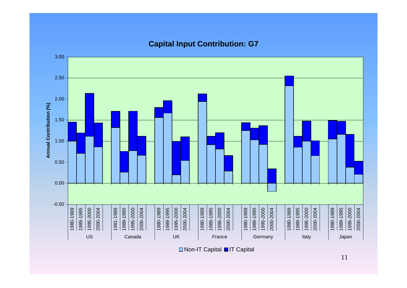#### 3.00 2.50 2.00 Annual Contribution (%) **Annual Contribution (%)** 1.50 1.00 0.500.00-0.50 2000-2004 1989-1995 1980-1989 1980-1989 1989-1995 1995-2000 2000-2004 1981-1989 1995-2000 2000-2004 1989-1995 1995-2000 2000-2004 1980-1989 1989-1995 1995-2000 2000-2004 1980-1989 1989-1995 1995-2000 2000-2004 1980-1989 1989-1995 1995-2000 2000-2004 1980-1989 1989-1995 1995-2000 1980-1989 1989-1995 1995-2000 2000-2004 1981-1989 1989-1995 1995-2000 2000-2004 1980-1989 1989-1995 1995-2000 2000-2004 1980-1989 1989-1995 1995-2000 2000-2004 1980-1989 1989-1995 1995-2000 2000-2004 1980-1989 1989-1995 1995-2000 2000-2004 1980-1989 1989-1995 1995-2000 2000-2004 USS | Canada | UK | France | Germany | Italy | Japan

**Capital Input Contribution: G7**

□Non-IT Capital ■IT Capital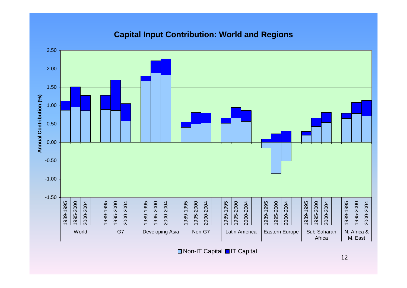#### **Capital Input Contribution: World and Regions**



□ Non-IT Capital ■IT Capital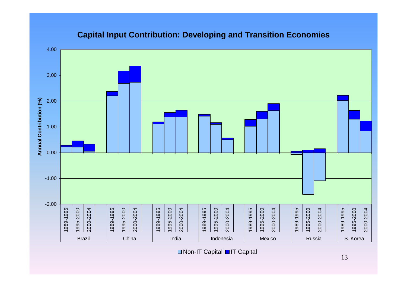#### **Capital Input Contribution: Developing and Transition Economies**



□ Non-IT Capital ■IT Capital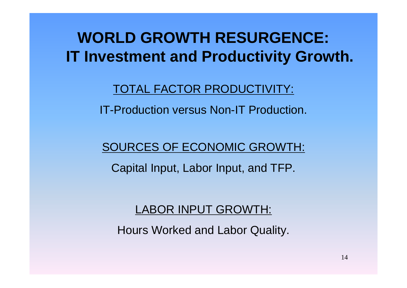**WORLD GROWTH RESURGENCE: IT Investment and Productivity Growth.**

### TOTAL FACTOR PRODUCTIVITY:

IT-Production versus Non-IT Production.

### SOURCES OF ECONOMIC GROWTH:

Capital Input, Labor Input, and TFP.

### LABOR INPUT GROWTH:

Hours Worked and Labor Quality.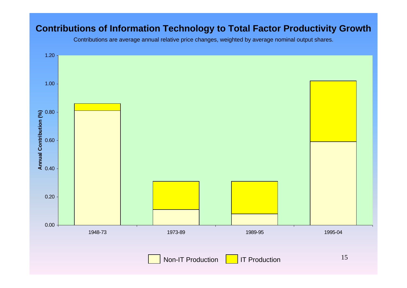#### **Contributions of Information Technology to Total Factor Productivity Growth**

Contributions are average annual relative price changes, weighted by average nominal output shares.

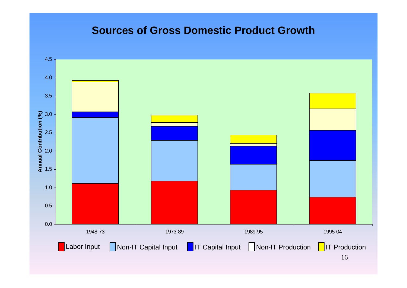#### **Sources of Gross Domestic Product Growth**

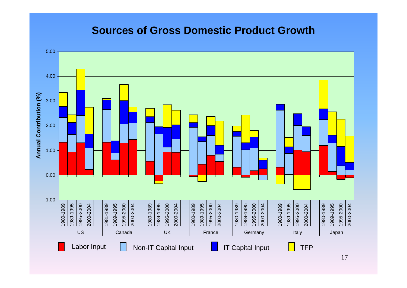### **Sources of Gross Domestic Product Growth**

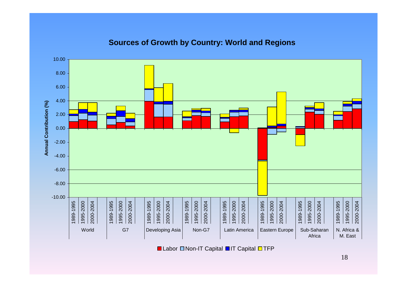#### **Sources of Growth by Country: World and Regions**



Labor ⊡Non-IT Capital **□** IT Capital **□** TFP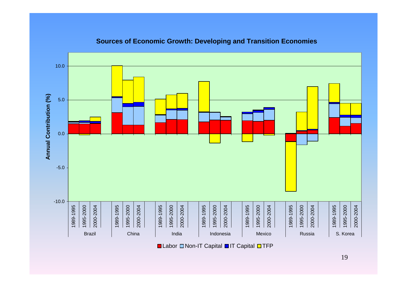

#### **Sources of Economic Growth: Developing and Transition Economies**

Labor ⊡Non-IT Capital **□** IT Capital **□** TFP